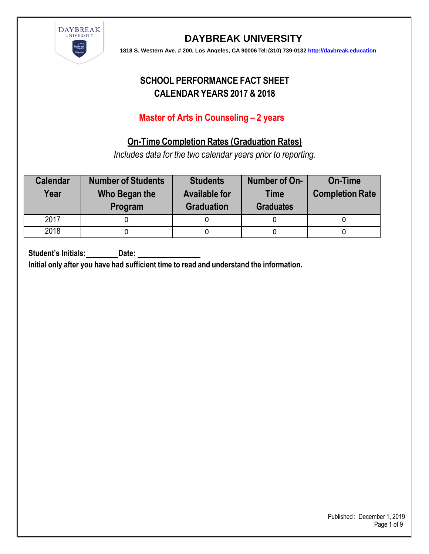

**1818 S. Western Ave. # 200, Los Angeles, CA 90006 Tel: (310) 739-0132 [http://daybreak.education](http://daybreak.education/)** 

# **SCHOOL PERFORMANCE FACT SHEET CALENDAR YEARS 2017 & 2018**

### **Master of Arts in Counseling – 2 years**

### **On-Time Completion Rates (Graduation Rates)**

*Includes data for the two calendar years prior to reporting.*

| <b>Calendar</b><br>Year | <b>Number of Students</b><br>Who Began the<br>Program | <b>Students</b><br><b>Available for</b><br><b>Graduation</b> | Number of On-<br><b>Time</b><br><b>Graduates</b> | <b>On-Time</b><br><b>Completion Rate</b> |
|-------------------------|-------------------------------------------------------|--------------------------------------------------------------|--------------------------------------------------|------------------------------------------|
| 2017                    |                                                       |                                                              |                                                  |                                          |
| 2018                    |                                                       |                                                              |                                                  |                                          |

**Student's Initials: Date:**

**Initial only after you have had sufficient time to read and understand the information.**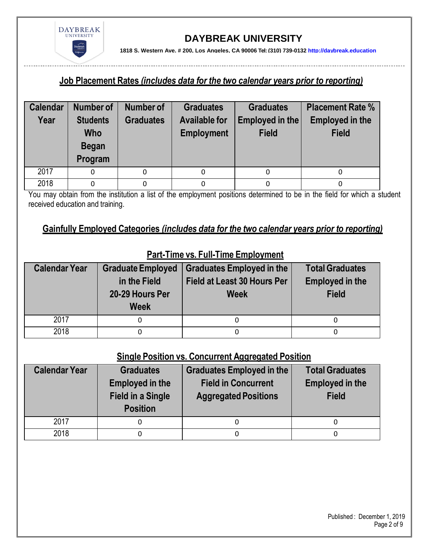

**1818 S. Western Ave. # 200, Los Angeles, CA 90006 Tel: (310) 739-0132 [http://daybreak.education](http://daybreak.education/)** 

#### **Job Placement Rates** *(includes data for the two calendar years prior to reporting)*

| <b>Calendar</b> | Number of                                                | Number of        | <b>Graduates</b>                          | <b>Graduates</b>                | <b>Placement Rate %</b>                |
|-----------------|----------------------------------------------------------|------------------|-------------------------------------------|---------------------------------|----------------------------------------|
| Year            | <b>Students</b><br><b>Who</b><br><b>Began</b><br>Program | <b>Graduates</b> | <b>Available for</b><br><b>Employment</b> | Employed in the<br><b>Field</b> | <b>Employed in the</b><br><b>Field</b> |
| 2017            | 0                                                        | 0                |                                           | 0                               |                                        |
| 2018            | 0                                                        |                  |                                           |                                 |                                        |

You may obtain from the institution a list of the employment positions determined to be in the field for which a student received education and training.

#### **Gainfully Employed Categories** *(includes data for the two calendar years prior to reporting)*

| <b>Calendar Year</b> | <b>Graduate Employed</b><br>in the Field<br>20-29 Hours Per<br><b>Week</b> | <b>Graduates Employed in the</b><br>Field at Least 30 Hours Per<br><b>Week</b> | <b>Total Graduates</b><br><b>Employed in the</b><br><b>Field</b> |
|----------------------|----------------------------------------------------------------------------|--------------------------------------------------------------------------------|------------------------------------------------------------------|
| 2017                 |                                                                            |                                                                                |                                                                  |
| 2018                 |                                                                            | 0                                                                              |                                                                  |

## **Part-Time vs. Full-Time Employment**

### **Single Position vs. Concurrent Aggregated Position**

| <b>Calendar Year</b> | <b>Graduates</b><br><b>Employed in the</b><br><b>Field in a Single</b><br><b>Position</b> | Graduates Employed in the<br><b>Field in Concurrent</b><br><b>Aggregated Positions</b> | <b>Total Graduates</b><br><b>Employed in the</b><br><b>Field</b> |
|----------------------|-------------------------------------------------------------------------------------------|----------------------------------------------------------------------------------------|------------------------------------------------------------------|
| 2017                 | 0                                                                                         |                                                                                        |                                                                  |
| 2018                 | 0                                                                                         |                                                                                        |                                                                  |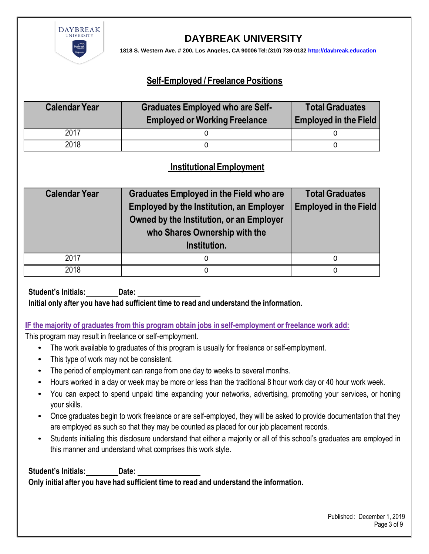

**1818 S. Western Ave. # 200, Los Angeles, CA 90006 Tel: (310) 739-0132 [http://daybreak.education](http://daybreak.education/)** 

### **Self-Employed / Freelance Positions**

| <b>Calendar Year</b> | <b>Graduates Employed who are Self-</b><br><b>Employed or Working Freelance</b> | <b>Total Graduates</b><br><b>Employed in the Field</b> |  |
|----------------------|---------------------------------------------------------------------------------|--------------------------------------------------------|--|
| 2017                 |                                                                                 |                                                        |  |
| 2018                 |                                                                                 |                                                        |  |

### **Institutional Employment**

| <b>Calendar Year</b> | <b>Graduates Employed in the Field who are</b><br><b>Employed by the Institution, an Employer</b><br>Owned by the Institution, or an Employer<br>who Shares Ownership with the<br>Institution. | <b>Total Graduates</b><br><b>Employed in the Field</b> |
|----------------------|------------------------------------------------------------------------------------------------------------------------------------------------------------------------------------------------|--------------------------------------------------------|
| 2017                 | 0                                                                                                                                                                                              | 0                                                      |
| 2018                 | 0                                                                                                                                                                                              | 0                                                      |

**Student's Initials: Date:**

**Initial only after you have had sufficient time to read and understand the information.**

#### **IF the majority of graduates from this program obtain jobs in self-employment or freelance work add:**

This program may result in freelance or self-employment.

- The work available to graduates of this program is usually for freelance or self-employment.
- This type of work may not be consistent.
- The period of employment can range from one day to weeks to several months.
- Hours worked in a day or week may be more or less than the traditional 8 hour work day or 40 hour work week.
- You can expect to spend unpaid time expanding your networks, advertising, promoting your services, or honing your skills.
- Once graduates begin to work freelance or are self-employed, they will be asked to provide documentation that they are employed as such so that they may be counted as placed for our job placement records.
- Students initialing this disclosure understand that either a majority or all of this school's graduates are employed in this manner and understand what comprises this work style.

**Student's Initials: Date: Only initial after you have had sufficient time to read and understand the information.**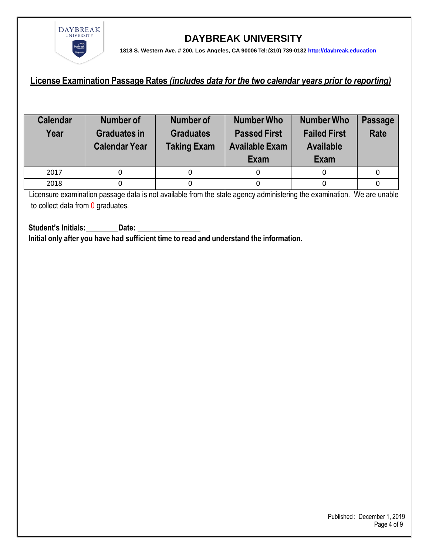

**1818 S. Western Ave. # 200, Los Angeles, CA 90006 Tel: (310) 739-0132 [http://daybreak.education](http://daybreak.education/)** 

#### **License Examination Passage Rates** *(includes data for the two calendar years prior to reporting)*

| <b>Calendar</b><br>Year | Number of<br><b>Graduates in</b><br><b>Calendar Year</b> | <b>Number of</b><br><b>Graduates</b><br><b>Taking Exam</b> | <b>Number Who</b><br><b>Passed First</b><br><b>Available Exam</b><br>Exam | <b>Number Who</b><br><b>Failed First</b><br><b>Available</b><br><b>Exam</b> | <b>Passage</b><br><b>Rate</b> |
|-------------------------|----------------------------------------------------------|------------------------------------------------------------|---------------------------------------------------------------------------|-----------------------------------------------------------------------------|-------------------------------|
|                         |                                                          |                                                            |                                                                           |                                                                             |                               |
| 2017                    |                                                          |                                                            |                                                                           |                                                                             |                               |

Licensure examination passage data is not available from the state agency administering the examination. We are unable to collect data from 0 graduates.

**Student's Initials: Date: Initial only after you have had sufficient time to read and understand the information.**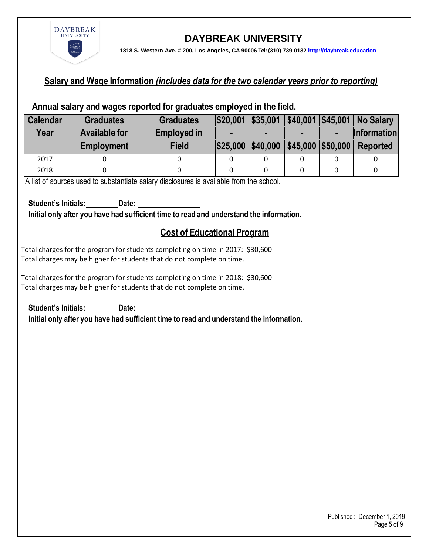

**1818 S. Western Ave. # 200, Los Angeles, CA 90006 Tel: (310) 739-0132 [http://daybreak.education](http://daybreak.education/)** 

#### **Salary and Wage Information** *(includes data for the two calendar years prior to reporting)*

#### **Annual salary and wages reported for graduates employed in the field.**

| <b>Calendar</b> | <b>Graduates</b>     | <b>Graduates</b>   |                | $ $20,001 $ \$35,001 |                       |                | \$40,001 \$45,001 No Salary |
|-----------------|----------------------|--------------------|----------------|----------------------|-----------------------|----------------|-----------------------------|
| Year            | <b>Available for</b> | <b>Employed in</b> | $\blacksquare$ | $\blacksquare$       | $\blacksquare$        | $\blacksquare$ | <b>Information</b>          |
|                 | <b>Employment</b>    | <b>Field</b>       |                | \$25,000 \$40,000    | $ $45,000$ $ $50,000$ |                | Reported                    |
| 2017            |                      |                    |                |                      |                       |                |                             |
| 2018            |                      |                    |                |                      |                       |                |                             |

A list of sources used to substantiate salary disclosures is available from the school.

**Student's Initials: Date: Initial only after you have had sufficient time to read and understand the information.**

#### **Cost of Educational Program**

Total charges for the program for students completing on time in 2017: \$30,600 Total charges may be higher for students that do not complete on time.

Total charges for the program for students completing on time in 2018: \$30,600 Total charges may be higher for students that do not complete on time.

**Student's Initials: Date:** 

**Initial only after you have had sufficient time to read and understand the information.**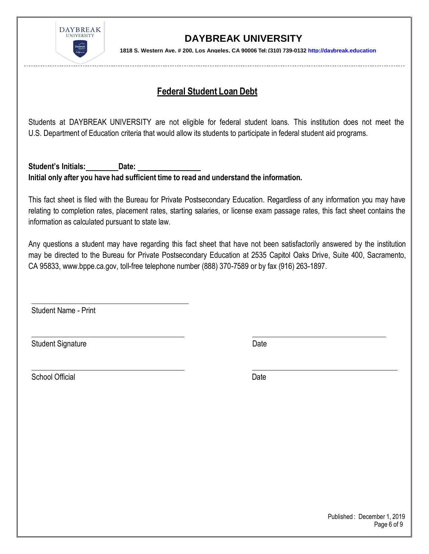

**1818 S. Western Ave. # 200, Los Angeles, CA 90006 Tel: (310) 739-0132 [http://daybreak.education](http://daybreak.education/)** 

### **Federal Student Loan Debt**

Students at DAYBREAK UNIVERSITY are not eligible for federal student loans. This institution does not meet the U.S. Department of Education criteria that would allow its students to participate in federal student aid programs.

**Student's Initials: Date: Initial only after you have had sufficient time to read and understand the information.**

This fact sheet is filed with the Bureau for Private Postsecondary Education. Regardless of any information you may have relating to completion rates, placement rates, starting salaries, or license exam passage rates, this fact sheet contains the information as calculated pursuant to state law.

Any questions a student may have regarding this fact sheet that have not been satisfactorily answered by the institution may be directed to the Bureau for Private Postsecondary Education at 2535 Capitol Oaks Drive, Suite 400, Sacramento, CA 95833, [www.bppe.ca.gov,](http://www.bppe.ca.gov/) toll-free telephone number (888) 370-7589 or by fax (916) 263-1897.

Student Name - Print

Student Signature Date Date

School Official Date Date Control of the Date Date Date Date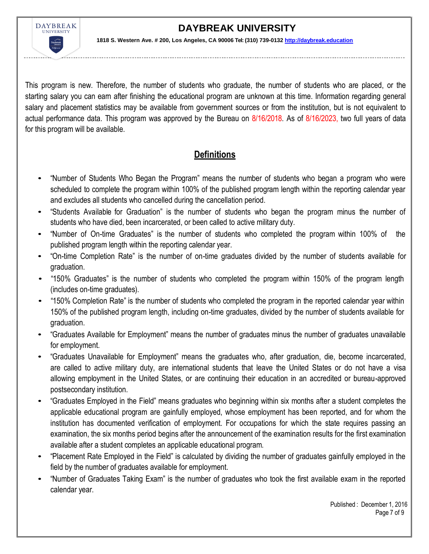

**1818 S. Western Ave. # 200, Los Angeles, CA 90006 Tel: (310) 739-0132 [http://daybreak.education](http://daybreak.education/)** 

This program is new. Therefore, the number of students who graduate, the number of students who are placed, or the starting salary you can earn after finishing the educational program are unknown at this time. Information regarding general salary and placement statistics may be available from government sources or from the institution, but is not equivalent to actual performance data. This program was approved by the Bureau on 8/16/2018. As of 8/16/2023, two full years of data for this program will be available.

### **Definitions**

- "Number of Students Who Began the Program" means the number of students who began a program who were scheduled to complete the program within 100% of the published program length within the reporting calendar year and excludes all students who cancelled during the cancellation period.
- "Students Available for Graduation" is the number of students who began the program minus the number of students who have died, been incarcerated, or been called to active military duty.
- "Number of On-time Graduates" is the number of students who completed the program within 100% of the published program length within the reporting calendar year.
- "On-time Completion Rate" is the number of on-time graduates divided by the number of students available for graduation.
- "150% Graduates" is the number of students who completed the program within 150% of the program length (includes on-time graduates).
- "150% Completion Rate" is the number of students who completed the program in the reported calendar year within 150% of the published program length, including on-time graduates, divided by the number of students available for graduation.
- "Graduates Available for Employment" means the number of graduates minus the number of graduates unavailable for employment.
- "Graduates Unavailable for Employment" means the graduates who, after graduation, die, become incarcerated, are called to active military duty, are international students that leave the United States or do not have a visa allowing employment in the United States, or are continuing their education in an accredited or bureau-approved postsecondary institution.
- "Graduates Employed in the Field" means graduates who beginning within six months after a student completes the applicable educational program are gainfully employed, whose employment has been reported, and for whom the institution has documented verification of employment. For occupations for which the state requires passing an examination, the six months period begins after the announcement of the examination results for the first examination available after a student completes an applicable educational program.
- "Placement Rate Employed in the Field" is calculated by dividing the number of graduates gainfully employed in the field by the number of graduates available for employment.
- "Number of Graduates Taking Exam" is the number of graduates who took the first available exam in the reported calendar year.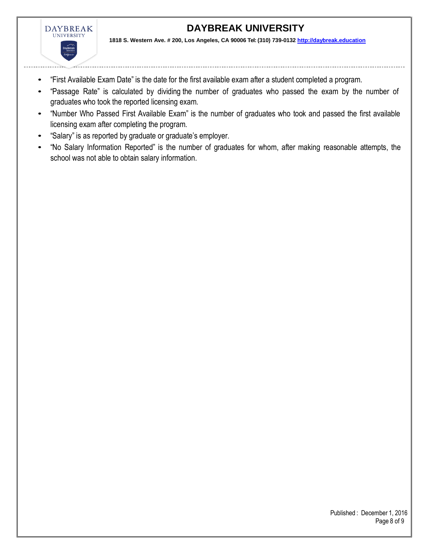

**1818 S. Western Ave. # 200, Los Angeles, CA 90006 Tel: (310) 739-0132 [http://daybreak.education](http://daybreak.education/)** 

- "First Available Exam Date" is the date for the first available exam after a student completed a program.
- "Passage Rate" is calculated by dividing the number of graduates who passed the exam by the number of graduates who took the reported licensing exam.
- "Number Who Passed First Available Exam" is the number of graduates who took and passed the first available licensing exam after completing the program.
- "Salary" is as reported by graduate or graduate's employer.
- "No Salary Information Reported" is the number of graduates for whom, after making reasonable attempts, the school was not able to obtain salary information.